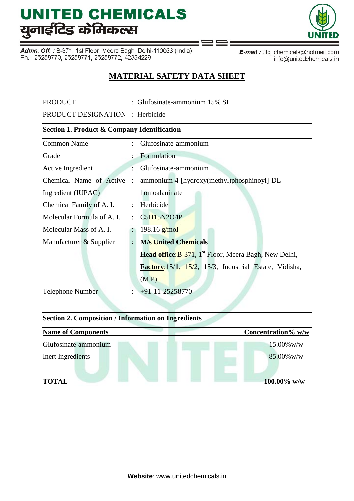Admn. Off.: B-371, 1st Floor, Meera Bagh, Delhi-110063 (India) Ph.: 25258770, 25258771, 25258772, 42334229



info@unitedchemicals.in

# **MATERIAL SAFETY DATA SHEET**

PRODUCT : Glufosinate-ammonium 15% SL

PRODUCT DESIGNATION : Herbicide

#### **Section 1. Product & Company Identification**

| <b>Common Name</b>         | t.                   | Glufosinate-ammonium                                              |
|----------------------------|----------------------|-------------------------------------------------------------------|
| Grade                      |                      | Formulation                                                       |
| Active Ingredient          |                      | Glufosinate-ammonium                                              |
| Chemical Name of Active :  |                      | ammonium 4-[hydroxy(methyl)phosphinoyl]-DL-                       |
| Ingredient (IUPAC)         |                      | homoalaninate                                                     |
| Chemical Family of A. I.   | $\ddot{\cdot}$       | Herbicide                                                         |
| Molecular Formula of A. I. |                      | : C5H15N2O4P                                                      |
| Molecular Mass of A. I.    |                      | $198.16$ g/mol                                                    |
| Manufacturer & Supplier    |                      | <b>M/s United Chemicals</b>                                       |
|                            |                      | Head office: B-371, 1 <sup>st</sup> Floor, Meera Bagh, New Delhi, |
|                            |                      | Factory: 15/1, 15/2, 15/3, Industrial Estate, Vidisha,            |
|                            |                      | (M.P)                                                             |
| <b>Telephone Number</b>    | $\ddot{\phantom{a}}$ | $+91-11-25258770$                                                 |

# **Section 2. Composition / Information on Ingredients**

| <b>Name of Components</b> | Concentration% w/w |
|---------------------------|--------------------|
| Glufosinate-ammonium      | $15.00\%$ w/w      |
| Inert Ingredients         | $85.00\%$ w/w      |
| <b>TOTAL</b>              | $100.00\%$ w/w     |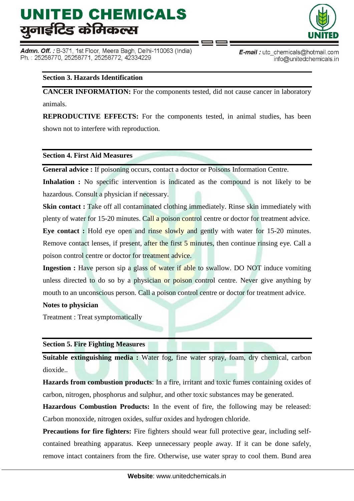Admn. Off. : B-371, 1st Floor, Meera Bagh, Delhi-110063 (India) Ph.: 25258770, 25258771, 25258772, 42334229



**E-mail**: utc chemicals@hotmail.com info@unitedchemicals.in

# **Section 3. Hazards Identification**

**CANCER INFORMATION:** For the components tested, did not cause cancer in laboratory animals.

**REPRODUCTIVE EFFECTS:** For the components tested, in animal studies, has been shown not to interfere with reproduction.

#### **Section 4. First Aid Measures**

**General advice :** If poisoning occurs, contact a doctor or Poisons Information Centre.

**Inhalation :** No specific intervention is indicated as the compound is not likely to be hazardous. Consult a physician if necessary.

**Skin contact :** Take off all contaminated clothing immediately. Rinse skin immediately with plenty of water for 15-20 minutes. Call a poison control centre or doctor for treatment advice.

**Eye contact :** Hold eye open and rinse slowly and gently with water for 15-20 minutes. Remove contact lenses, if present, after the first 5 minutes, then continue rinsing eye. Call a poison control centre or doctor for treatment advice.

**Ingestion :** Have person sip a glass of water if able to swallow. DO NOT induce vomiting unless directed to do so by a physician or poison control centre. Never give anything by mouth to an unconscious person. Call a poison control centre or doctor for treatment advice.

#### **Notes to physician**

Treatment : Treat symptomatically

## **Section 5. Fire Fighting Measures**

**Suitable extinguishing media :** Water fog, fine water spray, foam, dry chemical, carbon dioxide..

**Hazards from combustion products**: In a fire, irritant and toxic fumes containing oxides of carbon, nitrogen, phosphorus and sulphur, and other toxic substances may be generated.

**Hazardous Combustion Products:** In the event of fire, the following may be released: Carbon monoxide, nitrogen oxides, sulfur oxides and hydrogen chloride.

**Precautions for fire fighters:** Fire fighters should wear full protective gear, including selfcontained breathing apparatus. Keep unnecessary people away. If it can be done safely, remove intact containers from the fire. Otherwise, use water spray to cool them. Bund area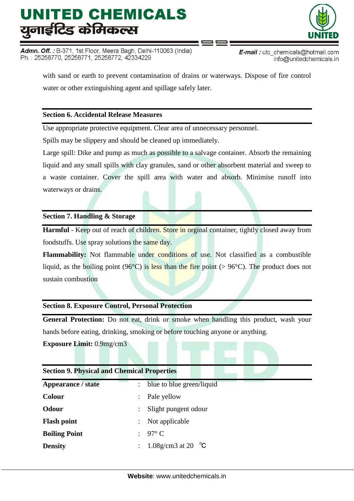Admn. Off. : B-371, 1st Floor, Meera Bagh, Delhi-110063 (India) Ph.: 25258770, 25258771, 25258772, 42334229



E-mail: utc\_chemicals@hotmail.com info@unitedchemicals.in

with sand or earth to prevent contamination of drains or waterways. Dispose of fire control water or other extinguishing agent and spillage safely later.

### **Section 6. Accidental Release Measures**

Use appropriate protective equipment. Clear area of unnecessary personnel.

Spills may be slippery and should be cleaned up immediately.

Large spill: Dike and pump as much as possible to a salvage container. Absorb the remaining liquid and any small spills with clay granules, sand or other absorbent material and sweep to a waste container. Cover the spill area with water and absorb. Minimise runoff into waterways or drains.

#### **Section 7. Handling & Storage**

**Harmful** - Keep out of reach of children. Store in orginal container, tightly closed away from foodstuffs. Use spray solutions the same day.

Flammability: Not flammable under conditions of use. Not classified as a combustible liquid, as the boiling point (96 $^{\circ}$ C) is less than the fire point (> 96 $^{\circ}$ C). The product does not sustain combustion

## **Section 8. Exposure Control, Personal Protection**

**General Protection:** Do not eat, drink or smoke when handling this product, wash your hands before eating, drinking, smoking or before touching anyone or anything.

#### **Exposure Limit:** 0.9mg/cm3

| <b>Section 9. Physical and Chemical Properties</b> |                           |                              |
|----------------------------------------------------|---------------------------|------------------------------|
| <b>Appearance / state</b>                          |                           | blue to blue green/liquid    |
| <b>Colour</b>                                      | $\ddot{\phantom{a}}$      | Pale yellow                  |
| Odour                                              |                           | Slight pungent odour         |
| <b>Flash point</b>                                 | $\mathbb{Z}^{\mathbb{Z}}$ | Not applicable               |
| <b>Boiling Point</b>                               |                           | $97^{\circ}$ C               |
| <b>Density</b>                                     |                           | 1.08g/cm3 at 20 $^{\circ}$ C |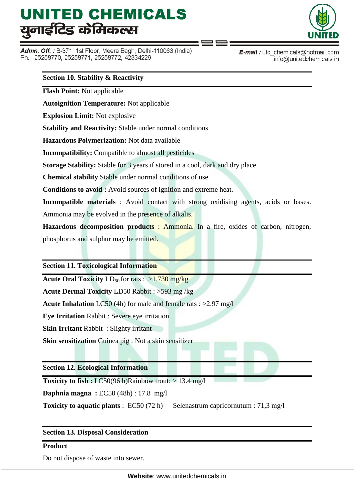Admn. Off.: B-371, 1st Floor, Meera Bagh, Delhi-110063 (India) Ph.: 25258770, 25258771, 25258772, 42334229



**E-mail**: utc chemicals@hotmail.com info@unitedchemicals.in

#### **Section 10. Stability & Reactivity**

**Flash Point:** Not applicable

**Autoignition Temperature:** Not applicable

**Explosion Limit:** Not explosive

**Stability and Reactivity:** Stable under normal conditions

**Hazardous Polymerization:** Not data available

**Incompatibility:** Compatible to almost all pesticides

**Storage Stability:** Stable for 3 years if stored in a cool, dark and dry place.

**Chemical stability** Stable under normal conditions of use.

**Conditions to avoid :** Avoid sources of ignition and extreme heat.

**Incompatible materials** : Avoid contact with strong oxidising agents, acids or bases. Ammonia may be evolved in the presence of alkalis.

**Hazardous decomposition products** : Ammonia. In a fire, oxides of carbon, nitrogen, phosphorus and sulphur may be emitted.

#### **Section 11. Toxicological Information**

**Acute Oral Toxicity** LD<sub>50</sub> for rats : >1,730 mg/kg

**Acute Dermal Toxicity** LD50 Rabbit : >593 mg /kg

**Acute Inhalation** LC50 (4h) for male and female rats : >2.97 mg/l

**Eye Irritation** Rabbit : Severe eye irritation

**Skin Irritant** Rabbit : Slighty irritant

**Skin sensitization** Guinea pig : Not a skin sensitizer

**Section 12. Ecological Information**

**Toxicity to fish :** LC50(96 h)Rainbow trout:  $> 13.4$  mg/l

**Daphnia magna :** EC50 (48h) : 17.8 mg/l

**Toxicity to aquatic plants** : EC50 (72 h) Selenastrum capricornutum : 71,3 mg/l

### **Section 13. Disposal Consideration**

### **Product**

Do not dispose of waste into sewer.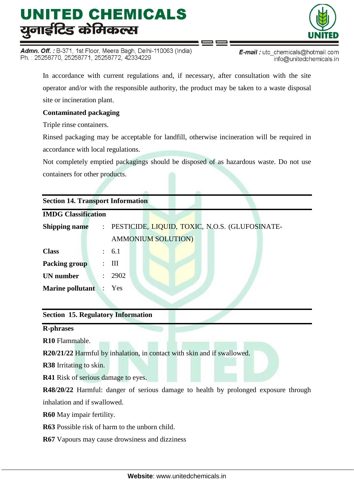Admn. Off.: B-371, 1st Floor, Meera Bagh, Delhi-110063 (India) Ph.: 25258770, 25258771, 25258772, 42334229



E-mail: utc\_chemicals@hotmail.com info@unitedchemicals.in

In accordance with current regulations and, if necessary, after consultation with the site operator and/or with the responsible authority, the product may be taken to a waste disposal site or incineration plant.

## **Contaminated packaging**

Triple rinse containers.

Rinsed packaging may be acceptable for landfill, otherwise incineration will be required in accordance with local regulations.

Not completely emptied packagings should be disposed of as hazardous waste. Do not use containers for other products.

|  | <b>Section 14. Transport Information</b> |  |
|--|------------------------------------------|--|
|--|------------------------------------------|--|

| <b>Shipping name</b>          |               | : PESTICIDE, LIQUID, TOXIC, N.O.S. (GLUFOSINATE- |
|-------------------------------|---------------|--------------------------------------------------|
|                               |               | <b>AMMONIUM SOLUTION)</b>                        |
| <b>Class</b>                  |               | : 6.1                                            |
| <b>Packing group</b>          |               | $\therefore$ III                                 |
| <b>UN</b> number              | $\mathcal{L}$ | 2902                                             |
| <b>Marine pollutant</b> : Yes |               |                                                  |

## **Section 15. Regulatory Information**

**R-phrases**

**R10** Flammable.

**R20/21/22** Harmful by inhalation, in contact with skin and if swallowed.

**R38** Irritating to skin.

**R41** Risk of serious damage to eyes.

**R48/20/22** Harmful: danger of serious damage to health by prolonged exposure through inhalation and if swallowed.

**R60** May impair fertility.

**R63** Possible risk of harm to the unborn child.

**R67** Vapours may cause drowsiness and dizziness